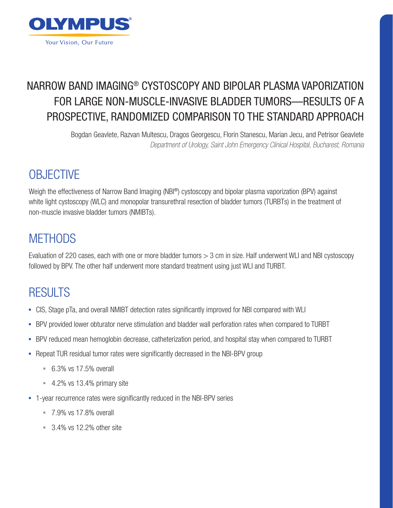

### NARROW BAND IMAGING® CYSTOSCOPY AND BIPOLAR PLASMA VAPORIZATION FOR LARGE NON-MUSCLE-INVASIVE BLADDER TUMORS—RESULTS OF A PROSPECTIVE, RANDOMIZED COMPARISON TO THE STANDARD APPROACH

Bogdan Geavlete, Razvan Multescu, Dragos Georgescu, Florin Stanescu, Marian Jecu, and Petrisor Geavlete *Department of Urology, Saint John Emergency Clinical Hospital, Bucharest, Romania*

# **OBJECTIVE**

Weigh the effectiveness of Narrow Band Imaging (NBI®) cystoscopy and bipolar plasma vaporization (BPV) against white light cystoscopy (WLC) and monopolar transurethral resection of bladder tumors (TURBTs) in the treatment of non-muscle invasive bladder tumors (NMIBTs).

#### **METHODS**

Evaluation of 220 cases, each with one or more bladder tumors > 3 cm in size. Half underwent WLI and NBI cystoscopy followed by BPV. The other half underwent more standard treatment using just WLI and TURBT.

# RESULTS

- CIS, Stage pTa, and overall NMIBT detection rates significantly improved for NBI compared with WLI
- BPV provided lower obturator nerve stimulation and bladder wall perforation rates when compared to TURBT
- BPV reduced mean hemoglobin decrease, catheterization period, and hospital stay when compared to TURBT
- Repeat TUR residual tumor rates were significantly decreased in the NBI-BPV group
	- $-6.3\%$  vs 17.5% overall
	- $-4.2\%$  vs 13.4% primary site
- **-** 1-year recurrence rates were significantly reduced in the NBI-BPV series
	- $-7.9\%$  vs 17.8% overall
	- $= 3.4\%$  vs 12.2% other site